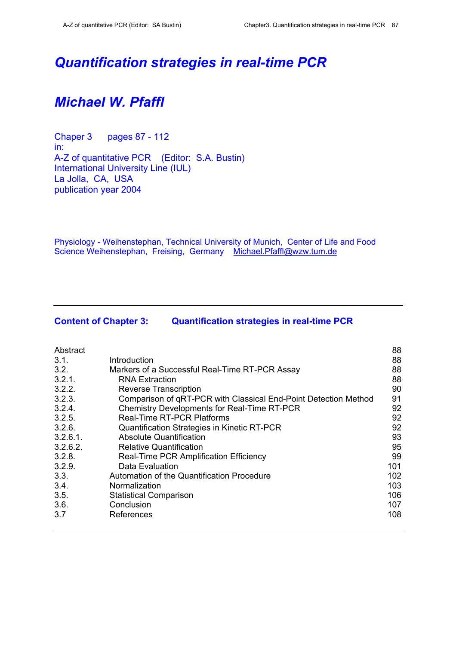# *Quantification strategies in real-time PCR*

# *Michael W. Pfaffl*

Chaper 3 pages 87 - 112 in: A-Z of quantitative PCR (Editor: S.A. Bustin) International University Line (IUL) La Jolla, CA, USA publication year 2004

Physiology - Weihenstephan, Technical University of Munich, Center of Life and Food Science Weihenstephan, Freising, Germany Michael.Pfaffl@wzw.tum.de

## **Content of Chapter 3: Quantification strategies in real-time PCR**

| Abstract    |                                                                 | 88  |
|-------------|-----------------------------------------------------------------|-----|
| 3.1.        | Introduction                                                    | 88  |
| 3.2.        | Markers of a Successful Real-Time RT-PCR Assay                  | 88  |
| 3.2.1.      | <b>RNA Extraction</b>                                           | 88  |
| 3.2.2.      | <b>Reverse Transcription</b>                                    | 90  |
| 3.2.3.      | Comparison of qRT-PCR with Classical End-Point Detection Method | 91  |
| 3.2.4.      | Chemistry Developments for Real-Time RT-PCR                     | 92  |
| 3.2.5.      | <b>Real-Time RT-PCR Platforms</b>                               | 92  |
| 3.2.6.      | Quantification Strategies in Kinetic RT-PCR                     | 92  |
| $3.2.6.1$ . | <b>Absolute Quantification</b>                                  | 93  |
| 3.2.6.2.    | <b>Relative Quantification</b>                                  | 95  |
| 3.2.8.      | Real-Time PCR Amplification Efficiency                          | 99  |
| 3.2.9.      | Data Evaluation                                                 | 101 |
| 3.3.        | Automation of the Quantification Procedure                      | 102 |
| 3.4.        | Normalization                                                   | 103 |
| 3.5.        | <b>Statistical Comparison</b>                                   | 106 |
| 3.6.        | Conclusion                                                      | 107 |
| 3.7         | References                                                      | 108 |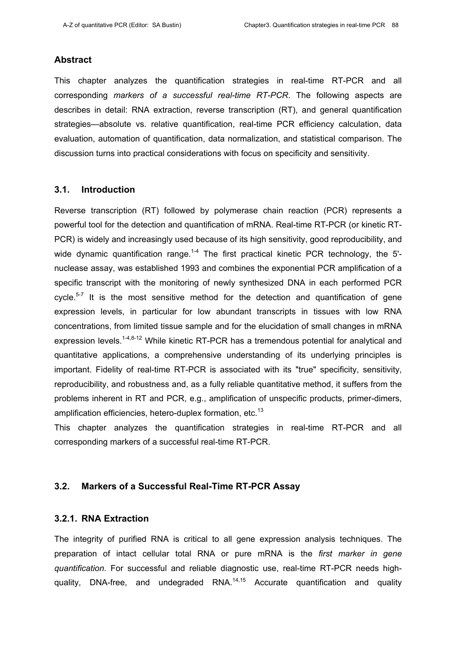#### **Abstract**

This chapter analyzes the quantification strategies in real-time RT-PCR and all corresponding *markers of a successful real-time RT-PCR*. The following aspects are describes in detail: RNA extraction, reverse transcription (RT), and general quantification strategies—absolute vs. relative quantification, real-time PCR efficiency calculation, data evaluation, automation of quantification, data normalization, and statistical comparison. The discussion turns into practical considerations with focus on specificity and sensitivity.

## **3.1. Introduction**

Reverse transcription (RT) followed by polymerase chain reaction (PCR) represents a powerful tool for the detection and quantification of mRNA. Real-time RT-PCR (or kinetic RT-PCR) is widely and increasingly used because of its high sensitivity, good reproducibility, and wide dynamic quantification range.<sup>1-4</sup> The first practical kinetic PCR technology, the 5'nuclease assay, was established 1993 and combines the exponential PCR amplification of a specific transcript with the monitoring of newly synthesized DNA in each performed PCR cycle.<sup>5-7</sup> It is the most sensitive method for the detection and quantification of gene expression levels, in particular for low abundant transcripts in tissues with low RNA concentrations, from limited tissue sample and for the elucidation of small changes in mRNA expression levels.<sup>1-4,8-12</sup> While kinetic RT-PCR has a tremendous potential for analytical and quantitative applications, a comprehensive understanding of its underlying principles is important. Fidelity of real-time RT-PCR is associated with its "true" specificity, sensitivity, reproducibility, and robustness and, as a fully reliable quantitative method, it suffers from the problems inherent in RT and PCR, e.g., amplification of unspecific products, primer-dimers, amplification efficiencies, hetero-duplex formation, etc.<sup>13</sup>

This chapter analyzes the quantification strategies in real-time RT-PCR and all corresponding markers of a successful real-time RT-PCR.

## **3.2. Markers of a Successful Real-Time RT-PCR Assay**

### **3.2.1. RNA Extraction**

The integrity of purified RNA is critical to all gene expression analysis techniques. The preparation of intact cellular total RNA or pure mRNA is the *first marker in gene quantification*. For successful and reliable diagnostic use, real-time RT-PCR needs highquality, DNA-free, and undegraded  $\text{RNA}^{14,15}$  Accurate quantification and quality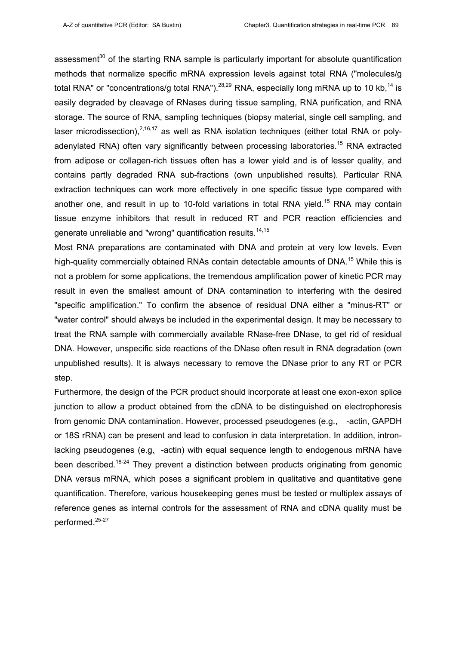assessment<sup>30</sup> of the starting RNA sample is particularly important for absolute quantification methods that normalize specific mRNA expression levels against total RNA ("molecules/g total RNA" or "concentrations/g total RNA").<sup>28,29</sup> RNA, especially long mRNA up to 10 kb,<sup>14</sup> is easily degraded by cleavage of RNases during tissue sampling, RNA purification, and RNA storage. The source of RNA, sampling techniques (biopsy material, single cell sampling, and laser microdissection), $2,16,17$  as well as RNA isolation techniques (either total RNA or polyadenylated RNA) often vary significantly between processing laboratories.<sup>15</sup> RNA extracted from adipose or collagen-rich tissues often has a lower yield and is of lesser quality, and contains partly degraded RNA sub-fractions (own unpublished results). Particular RNA extraction techniques can work more effectively in one specific tissue type compared with another one, and result in up to 10-fold variations in total RNA yield.<sup>15</sup> RNA may contain tissue enzyme inhibitors that result in reduced RT and PCR reaction efficiencies and generate unreliable and "wrong" quantification results.<sup>14,15</sup>

Most RNA preparations are contaminated with DNA and protein at very low levels. Even high-quality commercially obtained RNAs contain detectable amounts of DNA.<sup>15</sup> While this is not a problem for some applications, the tremendous amplification power of kinetic PCR may result in even the smallest amount of DNA contamination to interfering with the desired "specific amplification." To confirm the absence of residual DNA either a "minus-RT" or "water control" should always be included in the experimental design. It may be necessary to treat the RNA sample with commercially available RNase-free DNase, to get rid of residual DNA. However, unspecific side reactions of the DNase often result in RNA degradation (own unpublished results). It is always necessary to remove the DNase prior to any RT or PCR step.

Furthermore, the design of the PCR product should incorporate at least one exon-exon splice junction to allow a product obtained from the cDNA to be distinguished on electrophoresis from genomic DNA contamination. However, processed pseudogenes (e.g., -actin, GAPDH or 18S rRNA) can be present and lead to confusion in data interpretation. In addition, intronlacking pseudogenes (e.g. -actin) with equal sequence length to endogenous mRNA have been described.<sup>18-24</sup> They prevent a distinction between products originating from genomic DNA versus mRNA, which poses a significant problem in qualitative and quantitative gene quantification. Therefore, various housekeeping genes must be tested or multiplex assays of reference genes as internal controls for the assessment of RNA and cDNA quality must be performed.25-27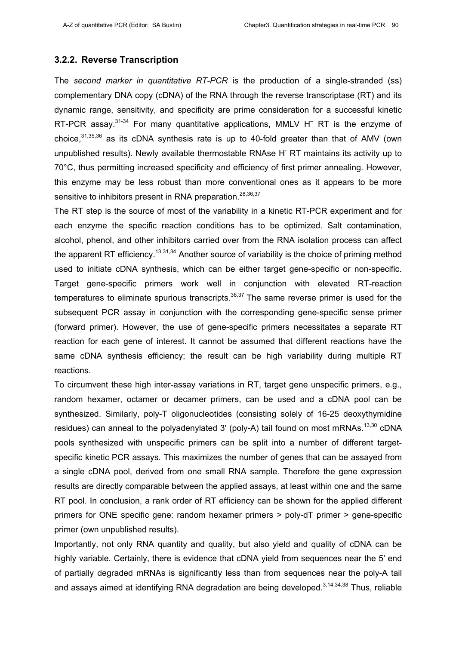#### **3.2.2. Reverse Transcription**

The *second marker in quantitative RT-PCR* is the production of a single-stranded (ss) complementary DNA copy (cDNA) of the RNA through the reverse transcriptase (RT) and its dynamic range, sensitivity, and specificity are prime consideration for a successful kinetic RT-PCR assay. $31-34$  For many quantitative applications, MMLV H<sup>-</sup> RT is the enzyme of choice, $31,35,36$  as its cDNA synthesis rate is up to 40-fold greater than that of AMV (own unpublished results). Newly available thermostable RNAse H<sup>-</sup> RT maintains its activity up to 70°C, thus permitting increased specificity and efficiency of first primer annealing. However, this enzyme may be less robust than more conventional ones as it appears to be more sensitive to inhibitors present in RNA preparation.<sup>28,36,37</sup>

The RT step is the source of most of the variability in a kinetic RT-PCR experiment and for each enzyme the specific reaction conditions has to be optimized. Salt contamination, alcohol, phenol, and other inhibitors carried over from the RNA isolation process can affect the apparent RT efficiency.<sup>13,31,34</sup> Another source of variability is the choice of priming method used to initiate cDNA synthesis, which can be either target gene-specific or non-specific. Target gene-specific primers work well in conjunction with elevated RT-reaction temperatures to eliminate spurious transcripts.<sup>36,37</sup> The same reverse primer is used for the subsequent PCR assay in conjunction with the corresponding gene-specific sense primer (forward primer). However, the use of gene-specific primers necessitates a separate RT reaction for each gene of interest. It cannot be assumed that different reactions have the same cDNA synthesis efficiency; the result can be high variability during multiple RT reactions.

To circumvent these high inter-assay variations in RT, target gene unspecific primers, e.g., random hexamer, octamer or decamer primers, can be used and a cDNA pool can be synthesized. Similarly, poly-T oligonucleotides (consisting solely of 16-25 deoxythymidine residues) can anneal to the polyadenylated 3' (poly-A) tail found on most mRNAs.<sup>13,30</sup> cDNA pools synthesized with unspecific primers can be split into a number of different targetspecific kinetic PCR assays. This maximizes the number of genes that can be assayed from a single cDNA pool, derived from one small RNA sample. Therefore the gene expression results are directly comparable between the applied assays, at least within one and the same RT pool. In conclusion, a rank order of RT efficiency can be shown for the applied different primers for ONE specific gene: random hexamer primers > poly-dT primer > gene-specific primer (own unpublished results).

Importantly, not only RNA quantity and quality, but also yield and quality of cDNA can be highly variable. Certainly, there is evidence that cDNA yield from sequences near the 5' end of partially degraded mRNAs is significantly less than from sequences near the poly-A tail and assays aimed at identifying RNA degradation are being developed.<sup>3,14,34,38</sup> Thus, reliable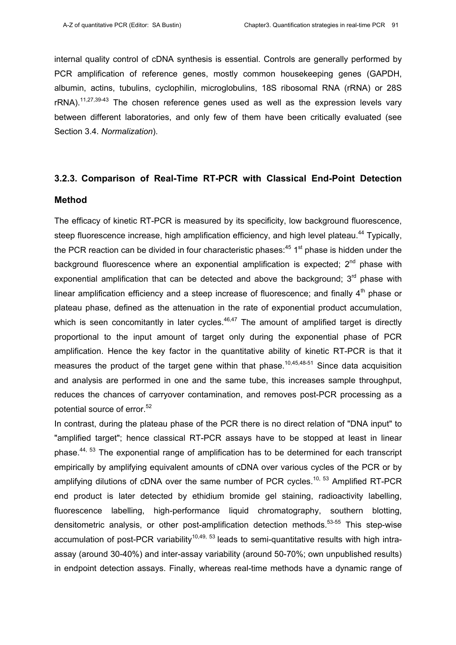internal quality control of cDNA synthesis is essential. Controls are generally performed by PCR amplification of reference genes, mostly common housekeeping genes (GAPDH, albumin, actins, tubulins, cyclophilin, microglobulins, 18S ribosomal RNA (rRNA) or 28S  $rRNA$ ).<sup>11,27,39-43</sup> The chosen reference genes used as well as the expression levels vary between different laboratories, and only few of them have been critically evaluated (see Section 3.4. *Normalization*).

## **3.2.3. Comparison of Real-Time RT-PCR with Classical End-Point Detection**

#### **Method**

The efficacy of kinetic RT-PCR is measured by its specificity, low background fluorescence, steep fluorescence increase, high amplification efficiency, and high level plateau.<sup>44</sup> Typically, the PCR reaction can be divided in four characteristic phases:  $45 \text{ } 1^{\text{st}}$  phase is hidden under the background fluorescence where an exponential amplification is expected:  $2<sup>nd</sup>$  phase with exponential amplification that can be detected and above the background;  $3<sup>rd</sup>$  phase with linear amplification efficiency and a steep increase of fluorescence; and finally  $4<sup>th</sup>$  phase or plateau phase, defined as the attenuation in the rate of exponential product accumulation, which is seen concomitantly in later cycles. $46,47$  The amount of amplified target is directly proportional to the input amount of target only during the exponential phase of PCR amplification. Hence the key factor in the quantitative ability of kinetic RT-PCR is that it measures the product of the target gene within that phase.<sup>10,45,48-51</sup> Since data acquisition and analysis are performed in one and the same tube, this increases sample throughput, reduces the chances of carryover contamination, and removes post-PCR processing as a potential source of error.<sup>52</sup>

In contrast, during the plateau phase of the PCR there is no direct relation of "DNA input" to "amplified target"; hence classical RT-PCR assays have to be stopped at least in linear phase.<sup>44, 53</sup> The exponential range of amplification has to be determined for each transcript empirically by amplifying equivalent amounts of cDNA over various cycles of the PCR or by amplifying dilutions of cDNA over the same number of PCR cycles.<sup>10, 53</sup> Amplified RT-PCR end product is later detected by ethidium bromide gel staining, radioactivity labelling, fluorescence labelling, high-performance liquid chromatography, southern blotting, densitometric analysis, or other post-amplification detection methods.<sup>53-55</sup> This step-wise accumulation of post-PCR variability<sup>10,49, 53</sup> leads to semi-quantitative results with high intraassay (around 30-40%) and inter-assay variability (around 50-70%; own unpublished results) in endpoint detection assays. Finally, whereas real-time methods have a dynamic range of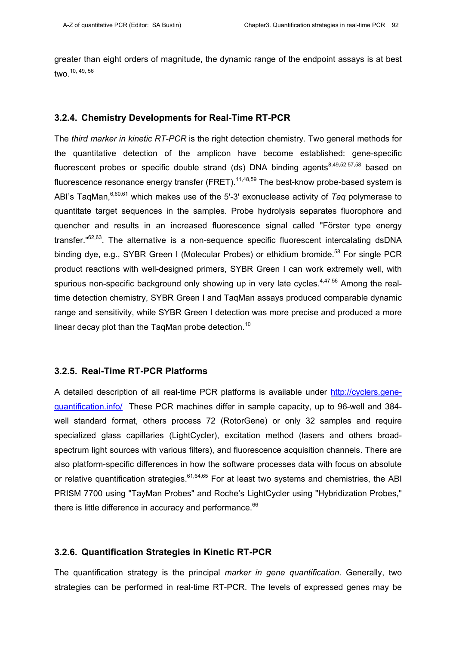greater than eight orders of magnitude, the dynamic range of the endpoint assays is at best two.10, 49, 56

#### **3.2.4. Chemistry Developments for Real-Time RT-PCR**

The *third marker in kinetic RT-PCR* is the right detection chemistry. Two general methods for the quantitative detection of the amplicon have become established: gene-specific fluorescent probes or specific double strand (ds) DNA binding agents $8,49,52,57,58$  based on fluorescence resonance energy transfer (FRET).  $11,48,59$  The best-know probe-based system is ABI's TaqMan,6,60,61 which makes use of the 5'-3' exonuclease activity of *Taq* polymerase to quantitate target sequences in the samples. Probe hydrolysis separates fluorophore and quencher and results in an increased fluorescence signal called "Förster type energy transfer."<sup>62,63</sup>. The alternative is a non-sequence specific fluorescent intercalating dsDNA binding dye, e.g., SYBR Green I (Molecular Probes) or ethidium bromide.<sup>58</sup> For single PCR product reactions with well-designed primers, SYBR Green I can work extremely well, with spurious non-specific background only showing up in very late cycles. $4,47,56$  Among the realtime detection chemistry, SYBR Green I and TaqMan assays produced comparable dynamic range and sensitivity, while SYBR Green I detection was more precise and produced a more linear decay plot than the TaqMan probe detection.<sup>10</sup>

## **3.2.5. Real-Time RT-PCR Platforms**

A detailed description of all real-time PCR platforms is available under http://cyclers.genequantification.info/ These PCR machines differ in sample capacity, up to 96-well and 384 well standard format, others process 72 (RotorGene) or only 32 samples and require specialized glass capillaries (LightCycler), excitation method (lasers and others broadspectrum light sources with various filters), and fluorescence acquisition channels. There are also platform-specific differences in how the software processes data with focus on absolute or relative quantification strategies.  $61,64,65$  For at least two systems and chemistries, the ABI PRISM 7700 using "TayMan Probes" and Roche's LightCycler using "Hybridization Probes," there is little difference in accuracy and performance.<sup>66</sup>

## **3.2.6. Quantification Strategies in Kinetic RT-PCR**

The quantification strategy is the principal *marker in gene quantification*. Generally, two strategies can be performed in real-time RT-PCR. The levels of expressed genes may be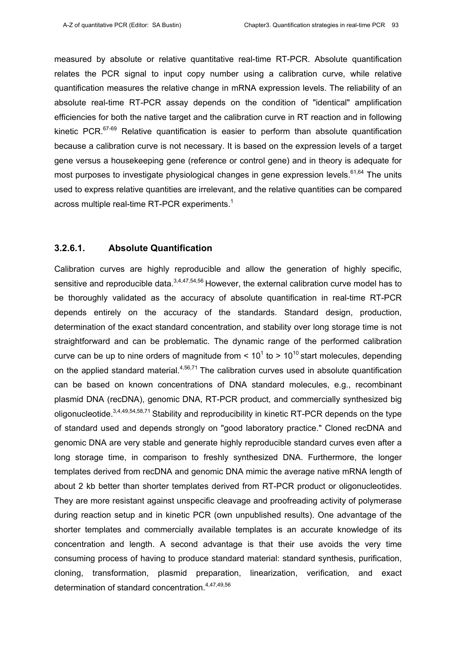measured by absolute or relative quantitative real-time RT-PCR. Absolute quantification relates the PCR signal to input copy number using a calibration curve, while relative quantification measures the relative change in mRNA expression levels. The reliability of an absolute real-time RT-PCR assay depends on the condition of "identical" amplification efficiencies for both the native target and the calibration curve in RT reaction and in following kinetic PCR. $67-69$  Relative quantification is easier to perform than absolute quantification because a calibration curve is not necessary. It is based on the expression levels of a target gene versus a housekeeping gene (reference or control gene) and in theory is adequate for most purposes to investigate physiological changes in gene expression levels.<sup>61,64</sup> The units used to express relative quantities are irrelevant, and the relative quantities can be compared across multiple real-time RT-PCR experiments.<sup>1</sup>

#### **3.2.6.1. Absolute Quantification**

Calibration curves are highly reproducible and allow the generation of highly specific, sensitive and reproducible data. $3,4,47,54,56$  However, the external calibration curve model has to be thoroughly validated as the accuracy of absolute quantification in real-time RT-PCR depends entirely on the accuracy of the standards. Standard design, production, determination of the exact standard concentration, and stability over long storage time is not straightforward and can be problematic. The dynamic range of the performed calibration curve can be up to nine orders of magnitude from  $< 10<sup>1</sup>$  to > 10<sup>10</sup> start molecules, depending on the applied standard material. $4,56,71$  The calibration curves used in absolute quantification can be based on known concentrations of DNA standard molecules, e.g., recombinant plasmid DNA (recDNA), genomic DNA, RT-PCR product, and commercially synthesized big oligonucleotide.<sup>3,4,49,54,58,71</sup> Stability and reproducibility in kinetic RT-PCR depends on the type of standard used and depends strongly on "good laboratory practice." Cloned recDNA and genomic DNA are very stable and generate highly reproducible standard curves even after a long storage time, in comparison to freshly synthesized DNA. Furthermore, the longer templates derived from recDNA and genomic DNA mimic the average native mRNA length of about 2 kb better than shorter templates derived from RT-PCR product or oligonucleotides. They are more resistant against unspecific cleavage and proofreading activity of polymerase during reaction setup and in kinetic PCR (own unpublished results). One advantage of the shorter templates and commercially available templates is an accurate knowledge of its concentration and length. A second advantage is that their use avoids the very time consuming process of having to produce standard material: standard synthesis, purification, cloning, transformation, plasmid preparation, linearization, verification, and exact determination of standard concentration.<sup>4,47,49,56</sup>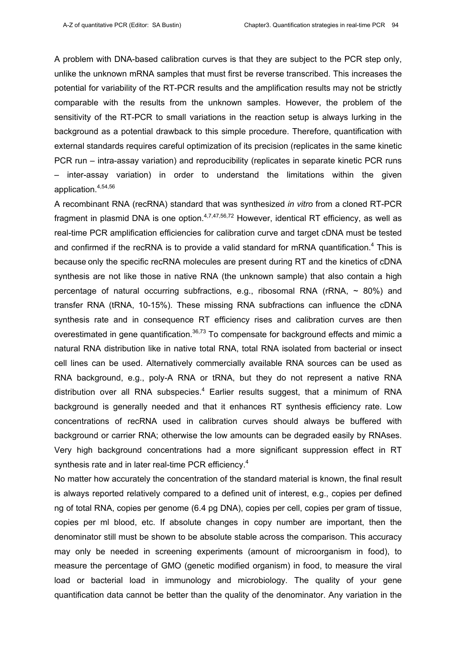A problem with DNA-based calibration curves is that they are subject to the PCR step only, unlike the unknown mRNA samples that must first be reverse transcribed. This increases the potential for variability of the RT-PCR results and the amplification results may not be strictly comparable with the results from the unknown samples. However, the problem of the sensitivity of the RT-PCR to small variations in the reaction setup is always lurking in the background as a potential drawback to this simple procedure. Therefore, quantification with external standards requires careful optimization of its precision (replicates in the same kinetic PCR run – intra-assay variation) and reproducibility (replicates in separate kinetic PCR runs – inter-assay variation) in order to understand the limitations within the given application.4,54,56

A recombinant RNA (recRNA) standard that was synthesized *in vitro* from a cloned RT-PCR fragment in plasmid DNA is one option.  $4,7,47,56,72$  However, identical RT efficiency, as well as real-time PCR amplification efficiencies for calibration curve and target cDNA must be tested and confirmed if the recRNA is to provide a valid standard for mRNA quantification. $4$  This is because only the specific recRNA molecules are present during RT and the kinetics of cDNA synthesis are not like those in native RNA (the unknown sample) that also contain a high percentage of natural occurring subfractions, e.g., ribosomal RNA ( $rRNA$ ,  $\sim$  80%) and transfer RNA (tRNA, 10-15%). These missing RNA subfractions can influence the cDNA synthesis rate and in consequence RT efficiency rises and calibration curves are then overestimated in gene quantification.<sup>36,73</sup> To compensate for background effects and mimic a natural RNA distribution like in native total RNA, total RNA isolated from bacterial or insect cell lines can be used. Alternatively commercially available RNA sources can be used as RNA background, e.g., poly-A RNA or tRNA, but they do not represent a native RNA distribution over all RNA subspecies. $4$  Earlier results suggest, that a minimum of RNA background is generally needed and that it enhances RT synthesis efficiency rate. Low concentrations of recRNA used in calibration curves should always be buffered with background or carrier RNA; otherwise the low amounts can be degraded easily by RNAses. Very high background concentrations had a more significant suppression effect in RT synthesis rate and in later real-time PCR efficiency.<sup>4</sup>

No matter how accurately the concentration of the standard material is known, the final result is always reported relatively compared to a defined unit of interest, e.g., copies per defined ng of total RNA, copies per genome (6.4 pg DNA), copies per cell, copies per gram of tissue, copies per ml blood, etc. If absolute changes in copy number are important, then the denominator still must be shown to be absolute stable across the comparison. This accuracy may only be needed in screening experiments (amount of microorganism in food), to measure the percentage of GMO (genetic modified organism) in food, to measure the viral load or bacterial load in immunology and microbiology. The quality of your gene quantification data cannot be better than the quality of the denominator. Any variation in the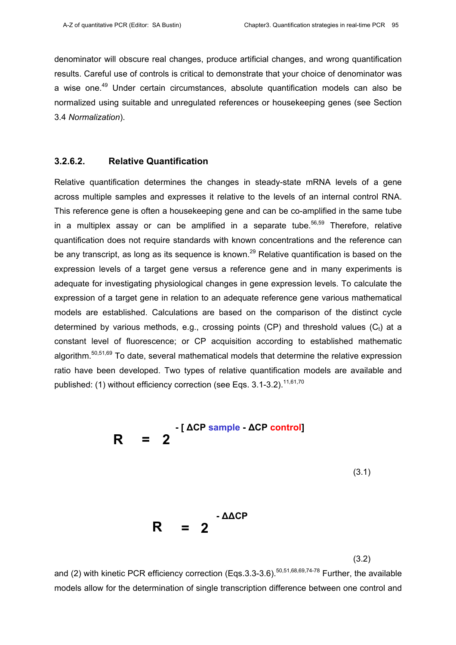denominator will obscure real changes, produce artificial changes, and wrong quantification results. Careful use of controls is critical to demonstrate that your choice of denominator was a wise one.<sup>49</sup> Under certain circumstances, absolute quantification models can also be normalized using suitable and unregulated references or housekeeping genes (see Section 3.4 *Normalization*).

## **3.2.6.2. Relative Quantification**

Relative quantification determines the changes in steady-state mRNA levels of a gene across multiple samples and expresses it relative to the levels of an internal control RNA. This reference gene is often a housekeeping gene and can be co-amplified in the same tube in a multiplex assay or can be amplified in a separate tube.<sup>56,59</sup> Therefore, relative quantification does not require standards with known concentrations and the reference can be any transcript, as long as its sequence is known.<sup>29</sup> Relative quantification is based on the expression levels of a target gene versus a reference gene and in many experiments is adequate for investigating physiological changes in gene expression levels. To calculate the expression of a target gene in relation to an adequate reference gene various mathematical models are established. Calculations are based on the comparison of the distinct cycle determined by various methods, e.g., crossing points (CP) and threshold values ( $C_t$ ) at a constant level of fluorescence; or CP acquisition according to established mathematic algorithm.<sup>50,51,69</sup> To date, several mathematical models that determine the relative expression ratio have been developed. Two types of relative quantification models are available and published: (1) without efficiency correction (see Eqs.  $3.1$ - $3.2$ ).<sup>11,61,70</sup>



(3.2)

and (2) with kinetic PCR efficiency correction (Eqs. 3.3-3.6).<sup>50,51,68,69,74-78</sup> Further, the available models allow for the determination of single transcription difference between one control and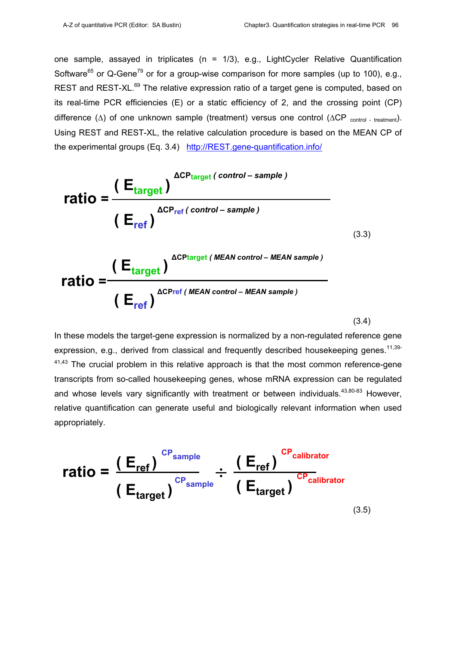one sample, assayed in triplicates (n = 1/3), e.g., LightCycler Relative Quantification Software<sup>65</sup> or Q-Gene<sup>79</sup> or for a group-wise comparison for more samples (up to 100), e.g., REST and REST-XL.<sup>69</sup> The relative expression ratio of a target gene is computed, based on its real-time PCR efficiencies (E) or a static efficiency of 2, and the crossing point (CP) difference ( $\Delta$ ) of one unknown sample (treatment) versus one control ( $\Delta CP$  control - treatment). Using REST and REST-XL, the relative calculation procedure is based on the MEAN CP of the experimental groups (Eq. 3.4) http://REST.gene-quantification.info/

$$
ratio = \frac{(E_{target})^{\Delta CP_{target} (control-sample)}}{(E_{ref})^{\Delta CP_{ref} (control-sample)}}
$$
\n
$$
ratio = \frac{(E_{target})^{\Delta CP_{target} (MEAN control - MEAN sample)}}{(E_{ref})^{\Delta CP_{ref} (MEAN control - MEAN sample)}}
$$
\n(3.3)

(3.4)

In these models the target-gene expression is normalized by a non-regulated reference gene expression, e.g., derived from classical and frequently described housekeeping genes.<sup>11,39-</sup>  $41,43$  The crucial problem in this relative approach is that the most common reference-gene transcripts from so-called housekeeping genes, whose mRNA expression can be regulated and whose levels vary significantly with treatment or between individuals. $43,80-83$  However, relative quantification can generate useful and biologically relevant information when used appropriately.

$$
ratio = \frac{(E_{ref})^{CP_{sample}}}{(E_{target})^{CP_{sample}}} \div \frac{(E_{ref})^{CP_{calibration}}}{(E_{target})^{CP_{calibration}}}
$$
(3.5)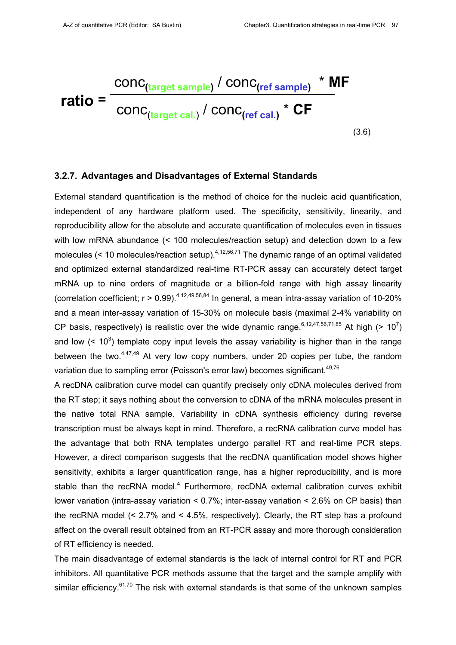$$
ratio = \frac{conc_{(target\ sample)} / conc_{(ref\ sample)} * MF}{conc_{(target\ cal.)} / conc_{(ref\ cal.)} * CF}
$$
(3.6)

#### **3.2.7. Advantages and Disadvantages of External Standards**

External standard quantification is the method of choice for the nucleic acid quantification, independent of any hardware platform used. The specificity, sensitivity, linearity, and reproducibility allow for the absolute and accurate quantification of molecules even in tissues with low mRNA abundance (< 100 molecules/reaction setup) and detection down to a few molecules (< 10 molecules/reaction setup).  $4,12,56,71$  The dynamic range of an optimal validated and optimized external standardized real-time RT-PCR assay can accurately detect target mRNA up to nine orders of magnitude or a billion-fold range with high assay linearity (correlation coefficient;  $r > 0.99$ ).<sup>4,12,49,56,84</sup> In general, a mean intra-assay variation of 10-20% and a mean inter-assay variation of 15-30% on molecule basis (maximal 2-4% variability on CP basis, respectively) is realistic over the wide dynamic range.  $6,12,47,56,71,85$  At high (> 10<sup>7</sup>) and low  $($  <  $10<sup>3</sup>)$  template copy input levels the assay variability is higher than in the range between the two. $4,47,49$  At very low copy numbers, under 20 copies per tube, the random variation due to sampling error (Poisson's error law) becomes significant.<sup>49,76</sup>

A recDNA calibration curve model can quantify precisely only cDNA molecules derived from the RT step; it says nothing about the conversion to cDNA of the mRNA molecules present in the native total RNA sample. Variability in cDNA synthesis efficiency during reverse transcription must be always kept in mind. Therefore, a recRNA calibration curve model has the advantage that both RNA templates undergo parallel RT and real-time PCR steps. However, a direct comparison suggests that the recDNA quantification model shows higher sensitivity, exhibits a larger quantification range, has a higher reproducibility, and is more stable than the recRNA model.<sup>4</sup> Furthermore, recDNA external calibration curves exhibit lower variation (intra-assay variation < 0.7%; inter-assay variation < 2.6% on CP basis) than the recRNA model (< 2.7% and < 4.5%, respectively). Clearly, the RT step has a profound affect on the overall result obtained from an RT-PCR assay and more thorough consideration of RT efficiency is needed.

The main disadvantage of external standards is the lack of internal control for RT and PCR inhibitors. All quantitative PCR methods assume that the target and the sample amplify with similar efficiency. $61,70$  The risk with external standards is that some of the unknown samples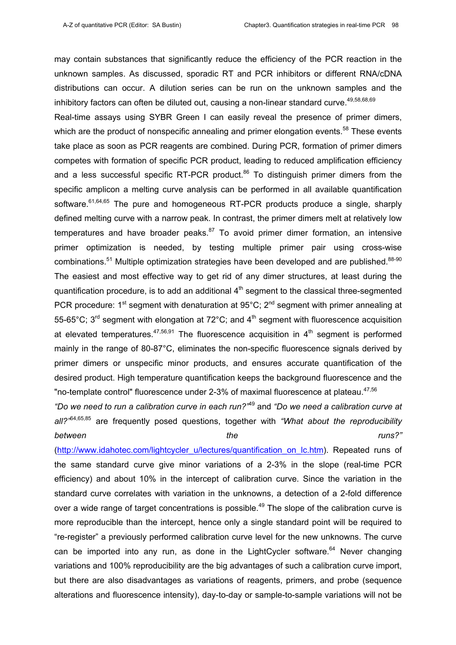may contain substances that significantly reduce the efficiency of the PCR reaction in the unknown samples. As discussed, sporadic RT and PCR inhibitors or different RNA/cDNA distributions can occur. A dilution series can be run on the unknown samples and the inhibitory factors can often be diluted out, causing a non-linear standard curve.<sup>49,58,68,69</sup>

Real-time assays using SYBR Green I can easily reveal the presence of primer dimers, which are the product of nonspecific annealing and primer elongation events.<sup>58</sup> These events take place as soon as PCR reagents are combined. During PCR, formation of primer dimers competes with formation of specific PCR product, leading to reduced amplification efficiency and a less successful specific RT-PCR product.<sup>86</sup> To distinguish primer dimers from the specific amplicon a melting curve analysis can be performed in all available quantification software.<sup>61,64,65</sup> The pure and homogeneous RT-PCR products produce a single, sharply defined melting curve with a narrow peak. In contrast, the primer dimers melt at relatively low temperatures and have broader peaks. $87$  To avoid primer dimer formation, an intensive primer optimization is needed, by testing multiple primer pair using cross-wise combinations.<sup>51</sup> Multiple optimization strategies have been developed and are published.<sup>88-90</sup> The easiest and most effective way to get rid of any dimer structures, at least during the quantification procedure, is to add an additional  $4<sup>th</sup>$  segment to the classical three-segmented PCR procedure: 1<sup>st</sup> segment with denaturation at 95°C; 2<sup>nd</sup> segment with primer annealing at 55-65 $^{\circ}$ C; 3<sup>rd</sup> segment with elongation at 72 $^{\circ}$ C; and 4<sup>th</sup> segment with fluorescence acquisition at elevated temperatures.<sup>47,56,91</sup> The fluorescence acquisition in  $4<sup>th</sup>$  segment is performed mainly in the range of 80-87°C, eliminates the non-specific fluorescence signals derived by primer dimers or unspecific minor products, and ensures accurate quantification of the desired product. High temperature quantification keeps the background fluorescence and the "no-template control" fluorescence under 2-3% of maximal fluorescence at plateau.<sup>47,56</sup>

*"Do we need to run a calibration curve in each run?"*49 and *"Do we need a calibration curve at all?"*64,65,85 are frequently posed questions, together with *"What about the reproducibility between the runs?"* 

(http://www.idahotec.com/lightcycler\_u/lectures/quantification\_on\_lc.htm). Repeated runs of the same standard curve give minor variations of a 2-3% in the slope (real-time PCR efficiency) and about 10% in the intercept of calibration curve. Since the variation in the standard curve correlates with variation in the unknowns, a detection of a 2-fold difference over a wide range of target concentrations is possible.<sup>49</sup> The slope of the calibration curve is more reproducible than the intercept, hence only a single standard point will be required to "re-register" a previously performed calibration curve level for the new unknowns. The curve can be imported into any run, as done in the LightCycler software.<sup>64</sup> Never changing variations and 100% reproducibility are the big advantages of such a calibration curve import, but there are also disadvantages as variations of reagents, primers, and probe (sequence alterations and fluorescence intensity), day-to-day or sample-to-sample variations will not be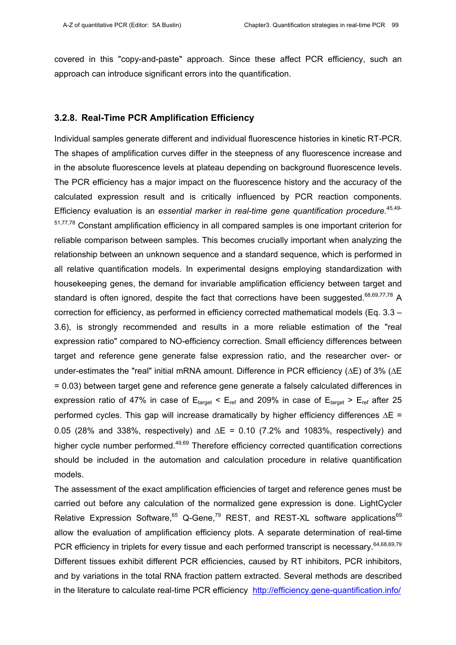covered in this "copy-and-paste" approach. Since these affect PCR efficiency, such an approach can introduce significant errors into the quantification.

#### **3.2.8. Real-Time PCR Amplification Efficiency**

Individual samples generate different and individual fluorescence histories in kinetic RT-PCR. The shapes of amplification curves differ in the steepness of any fluorescence increase and in the absolute fluorescence levels at plateau depending on background fluorescence levels. The PCR efficiency has a major impact on the fluorescence history and the accuracy of the calculated expression result and is critically influenced by PCR reaction components. Efficiency evaluation is an *essential marker in real-time gene quantification procedure.*45,49- 51,77,78 Constant amplification efficiency in all compared samples is one important criterion for reliable comparison between samples. This becomes crucially important when analyzing the relationship between an unknown sequence and a standard sequence, which is performed in all relative quantification models. In experimental designs employing standardization with housekeeping genes, the demand for invariable amplification efficiency between target and standard is often ignored, despite the fact that corrections have been suggested.<sup>68,69,77,78</sup> A correction for efficiency, as performed in efficiency corrected mathematical models (Eq. 3.3 – 3.6), is strongly recommended and results in a more reliable estimation of the "real expression ratio" compared to NO-efficiency correction. Small efficiency differences between target and reference gene generate false expression ratio, and the researcher over- or under-estimates the "real" initial mRNA amount. Difference in PCR efficiency (∆E) of 3% (∆E = 0.03) between target gene and reference gene generate a falsely calculated differences in expression ratio of 47% in case of  $E_{\text{tare}t} < E_{\text{ref}}$  and 209% in case of  $E_{\text{tare}t} > E_{\text{ref}}$  after 25 performed cycles. This gap will increase dramatically by higher efficiency differences ∆E = 0.05 (28% and 338%, respectively) and  $\Delta E = 0.10$  (7.2% and 1083%, respectively) and higher cycle number performed.<sup>49,69</sup> Therefore efficiency corrected quantification corrections should be included in the automation and calculation procedure in relative quantification models.

The assessment of the exact amplification efficiencies of target and reference genes must be carried out before any calculation of the normalized gene expression is done. LightCycler Relative Expression Software, $65$  Q-Gene, $79$  REST, and REST-XL software applications $69$ allow the evaluation of amplification efficiency plots. A separate determination of real-time PCR efficiency in triplets for every tissue and each performed transcript is necessary.<sup>64,68,69,79</sup> Different tissues exhibit different PCR efficiencies, caused by RT inhibitors, PCR inhibitors, and by variations in the total RNA fraction pattern extracted. Several methods are described in the literature to calculate real-time PCR efficiency http://efficiency.gene-quantification.info/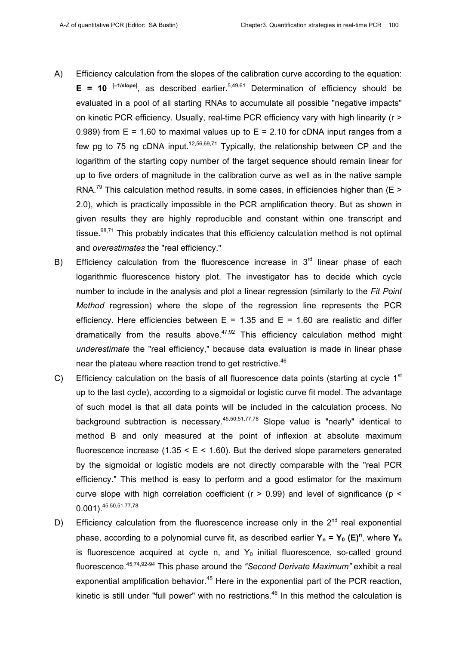- A) Efficiency calculation from the slopes of the calibration curve according to the equation:  $E = 10$  <sup>[-1/slope]</sup>, as described earlier.<sup>5,49,61</sup> Determination of efficiency should be evaluated in a pool of all starting RNAs to accumulate all possible "negative impacts" on kinetic PCR efficiency. Usually, real-time PCR efficiency vary with high linearity (r > 0.989) from  $E = 1.60$  to maximal values up to  $E = 2.10$  for cDNA input ranges from a few pg to 75 ng cDNA input.<sup>12,56,69,71</sup> Typically, the relationship between CP and the logarithm of the starting copy number of the target sequence should remain linear for up to five orders of magnitude in the calibration curve as well as in the native sample RNA.<sup>79</sup> This calculation method results, in some cases, in efficiencies higher than (E > 2.0), which is practically impossible in the PCR amplification theory. But as shown in given results they are highly reproducible and constant within one transcript and tissue.<sup>68,71</sup> This probably indicates that this efficiency calculation method is not optimal and *overestimates* the "real efficiency."
- B) Efficiency calculation from the fluorescence increase in  $3<sup>rd</sup>$  linear phase of each logarithmic fluorescence history plot. The investigator has to decide which cycle number to include in the analysis and plot a linear regression (similarly to the *Fit Point Method* regression) where the slope of the regression line represents the PCR efficiency. Here efficiencies between  $E = 1.35$  and  $E = 1.60$  are realistic and differ dramatically from the results above.<sup>47,92</sup> This efficiency calculation method might *underestimate* the "real efficiency," because data evaluation is made in linear phase near the plateau where reaction trend to get restrictive.<sup>46</sup>
- C) Efficiency calculation on the basis of all fluorescence data points (starting at cycle  $1<sup>st</sup>$ up to the last cycle), according to a sigmoidal or logistic curve fit model. The advantage of such model is that all data points will be included in the calculation process. No background subtraction is necessary.  $45,50,51,77,78$  Slope value is "nearly" identical to method B and only measured at the point of inflexion at absolute maximum fluorescence increase  $(1.35 \le E \le 1.60)$ . But the derived slope parameters generated by the sigmoidal or logistic models are not directly comparable with the "real PCR efficiency." This method is easy to perform and a good estimator for the maximum curve slope with high correlation coefficient ( $r > 0.99$ ) and level of significance ( $p <$ 0.001).45,50,51,77,78
- D) Efficiency calculation from the fluorescence increase only in the  $2<sup>nd</sup>$  real exponential phase, according to a polynomial curve fit, as described earlier  $Y_n = Y_0$  (E)<sup>n</sup>, where  $Y_n$ is fluorescence acquired at cycle n, and  $Y_0$  initial fluorescence, so-called ground fluorescence.45,74,92-94 This phase around the *"Second Derivate Maximum"* exhibit a real exponential amplification behavior. $45$  Here in the exponential part of the PCR reaction, kinetic is still under "full power" with no restrictions.<sup>46</sup> In this method the calculation is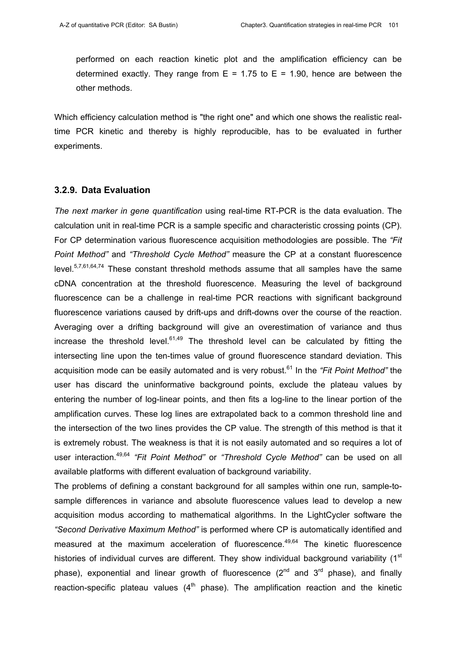performed on each reaction kinetic plot and the amplification efficiency can be determined exactly. They range from  $E = 1.75$  to  $E = 1.90$ , hence are between the other methods.

Which efficiency calculation method is "the right one" and which one shows the realistic realtime PCR kinetic and thereby is highly reproducible, has to be evaluated in further experiments.

## **3.2.9. Data Evaluation**

*The next marker in gene quantification* using real-time RT-PCR is the data evaluation. The calculation unit in real-time PCR is a sample specific and characteristic crossing points (CP). For CP determination various fluorescence acquisition methodologies are possible. The *"Fit Point Method"* and *"Threshold Cycle Method"* measure the CP at a constant fluorescence level.5,7,61,64,74 These constant threshold methods assume that all samples have the same cDNA concentration at the threshold fluorescence. Measuring the level of background fluorescence can be a challenge in real-time PCR reactions with significant background fluorescence variations caused by drift-ups and drift-downs over the course of the reaction. Averaging over a drifting background will give an overestimation of variance and thus increase the threshold level. $61,49$  The threshold level can be calculated by fitting the intersecting line upon the ten-times value of ground fluorescence standard deviation. This acquisition mode can be easily automated and is very robust.<sup>61</sup> In the "Fit Point Method" the user has discard the uninformative background points, exclude the plateau values by entering the number of log-linear points, and then fits a log-line to the linear portion of the amplification curves. These log lines are extrapolated back to a common threshold line and the intersection of the two lines provides the CP value. The strength of this method is that it is extremely robust. The weakness is that it is not easily automated and so requires a lot of user interaction.49,64 *"Fit Point Method"* or *"Threshold Cycle Method"* can be used on all available platforms with different evaluation of background variability.

The problems of defining a constant background for all samples within one run, sample-tosample differences in variance and absolute fluorescence values lead to develop a new acquisition modus according to mathematical algorithms. In the LightCycler software the *"Second Derivative Maximum Method"* is performed where CP is automatically identified and measured at the maximum acceleration of fluorescence.<sup>49,64</sup> The kinetic fluorescence histories of individual curves are different. They show individual background variability (1<sup>st</sup> phase), exponential and linear growth of fluorescence  $(2^{nd}$  and  $3^{rd}$  phase), and finally reaction-specific plateau values  $(4<sup>th</sup>$  phase). The amplification reaction and the kinetic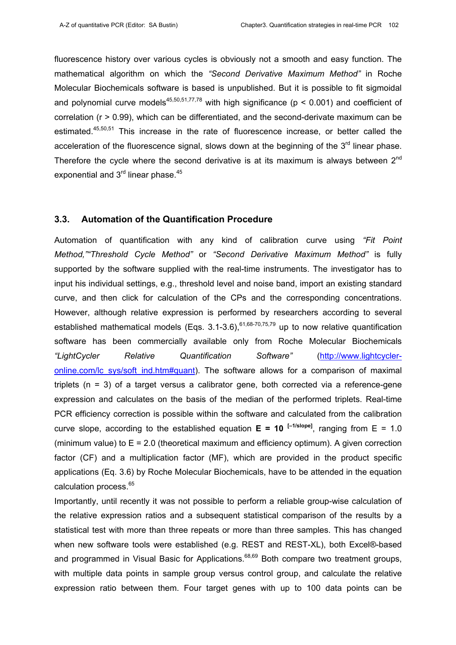fluorescence history over various cycles is obviously not a smooth and easy function. The mathematical algorithm on which the *"Second Derivative Maximum Method"* in Roche Molecular Biochemicals software is based is unpublished. But it is possible to fit sigmoidal and polynomial curve models<sup>45,50,51,77,78</sup> with high significance ( $p < 0.001$ ) and coefficient of correlation (r > 0.99), which can be differentiated, and the second-derivate maximum can be estimated.<sup>45,50,51</sup> This increase in the rate of fluorescence increase, or better called the acceleration of the fluorescence signal, slows down at the beginning of the  $3<sup>rd</sup>$  linear phase. Therefore the cycle where the second derivative is at its maximum is always between  $2^{nd}$ exponential and 3<sup>rd</sup> linear phase.<sup>45</sup>

#### **3.3. Automation of the Quantification Procedure**

Automation of quantification with any kind of calibration curve using *"Fit Point Method,""Threshold Cycle Method"* or *"Second Derivative Maximum Method"* is fully supported by the software supplied with the real-time instruments. The investigator has to input his individual settings, e.g., threshold level and noise band, import an existing standard curve, and then click for calculation of the CPs and the corresponding concentrations. However, although relative expression is performed by researchers according to several established mathematical models (Eqs.  $3.1$ - $3.6$ ),<sup>61,68-70,75,79</sup> up to now relative quantification software has been commercially available only from Roche Molecular Biochemicals *"LightCycler Relative Quantification Software"* (http://www.lightcycleronline.com/lc\_sys/soft\_ind.htm#quant). The software allows for a comparison of maximal triplets (n = 3) of a target versus a calibrator gene, both corrected via a reference-gene expression and calculates on the basis of the median of the performed triplets. Real-time PCR efficiency correction is possible within the software and calculated from the calibration curve slope, according to the established equation  $E = 10$  <sup>[-1/slope]</sup>, ranging from  $E = 1.0$ (minimum value) to  $E = 2.0$  (theoretical maximum and efficiency optimum). A given correction factor (CF) and a multiplication factor (MF), which are provided in the product specific applications (Eq. 3.6) by Roche Molecular Biochemicals, have to be attended in the equation calculation process.<sup>65</sup>

Importantly, until recently it was not possible to perform a reliable group-wise calculation of the relative expression ratios and a subsequent statistical comparison of the results by a statistical test with more than three repeats or more than three samples. This has changed when new software tools were established (e.g. REST and REST-XL), both Excel®-based and programmed in Visual Basic for Applications.<sup>68,69</sup> Both compare two treatment groups, with multiple data points in sample group versus control group, and calculate the relative expression ratio between them. Four target genes with up to 100 data points can be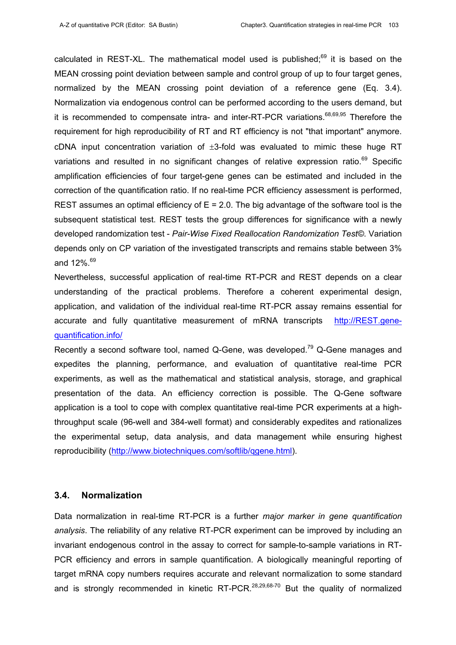calculated in REST-XL. The mathematical model used is published; $69$  it is based on the MEAN crossing point deviation between sample and control group of up to four target genes, normalized by the MEAN crossing point deviation of a reference gene (Eq. 3.4). Normalization via endogenous control can be performed according to the users demand, but it is recommended to compensate intra- and inter-RT-PCR variations. $68,69,95$  Therefore the requirement for high reproducibility of RT and RT efficiency is not "that important" anymore. cDNA input concentration variation of  $\pm$ 3-fold was evaluated to mimic these huge RT variations and resulted in no significant changes of relative expression ratio.<sup>69</sup> Specific amplification efficiencies of four target-gene genes can be estimated and included in the correction of the quantification ratio. If no real-time PCR efficiency assessment is performed, REST assumes an optimal efficiency of  $E = 2.0$ . The big advantage of the software tool is the subsequent statistical test. REST tests the group differences for significance with a newly developed randomization test - *Pair-Wise Fixed Reallocation Randomization Test©*. Variation depends only on CP variation of the investigated transcripts and remains stable between 3% and  $12\%$ .  $69$ 

Nevertheless, successful application of real-time RT-PCR and REST depends on a clear understanding of the practical problems. Therefore a coherent experimental design, application, and validation of the individual real-time RT-PCR assay remains essential for accurate and fully quantitative measurement of mRNA transcripts http://REST.genequantification.info/

Recently a second software tool, named Q-Gene, was developed.<sup>79</sup> Q-Gene manages and expedites the planning, performance, and evaluation of quantitative real-time PCR experiments, as well as the mathematical and statistical analysis, storage, and graphical presentation of the data. An efficiency correction is possible. The Q-Gene software application is a tool to cope with complex quantitative real-time PCR experiments at a highthroughput scale (96-well and 384-well format) and considerably expedites and rationalizes the experimental setup, data analysis, and data management while ensuring highest reproducibility (http://www.biotechniques.com/softlib/qqene.html).

## **3.4. Normalization**

Data normalization in real-time RT-PCR is a further *major marker in gene quantification analysis*. The reliability of any relative RT-PCR experiment can be improved by including an invariant endogenous control in the assay to correct for sample-to-sample variations in RT-PCR efficiency and errors in sample quantification. A biologically meaningful reporting of target mRNA copy numbers requires accurate and relevant normalization to some standard and is strongly recommended in kinetic RT-PCR.<sup>28,29,68-70</sup> But the quality of normalized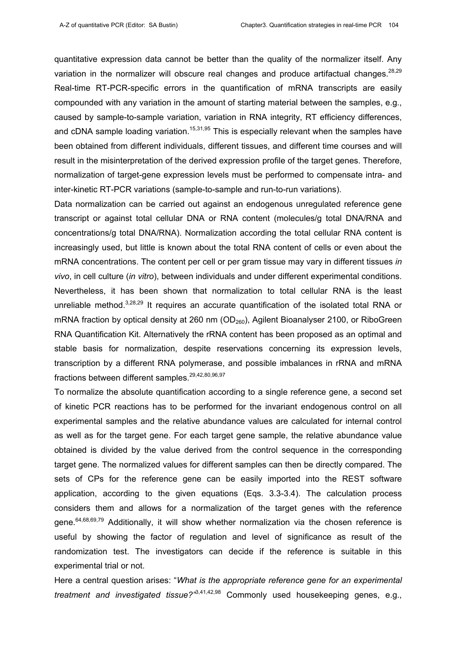quantitative expression data cannot be better than the quality of the normalizer itself. Any variation in the normalizer will obscure real changes and produce artifactual changes. $28,29$ Real-time RT-PCR-specific errors in the quantification of mRNA transcripts are easily compounded with any variation in the amount of starting material between the samples, e.g., caused by sample-to-sample variation, variation in RNA integrity, RT efficiency differences, and cDNA sample loading variation.<sup>15,31,95</sup> This is especially relevant when the samples have been obtained from different individuals, different tissues, and different time courses and will result in the misinterpretation of the derived expression profile of the target genes. Therefore, normalization of target-gene expression levels must be performed to compensate intra- and inter-kinetic RT-PCR variations (sample-to-sample and run-to-run variations).

Data normalization can be carried out against an endogenous unregulated reference gene transcript or against total cellular DNA or RNA content (molecules/g total DNA/RNA and concentrations/g total DNA/RNA). Normalization according the total cellular RNA content is increasingly used, but little is known about the total RNA content of cells or even about the mRNA concentrations. The content per cell or per gram tissue may vary in different tissues *in vivo*, in cell culture (*in vitro*), between individuals and under different experimental conditions. Nevertheless, it has been shown that normalization to total cellular RNA is the least unreliable method. $3,28,29$  It requires an accurate quantification of the isolated total RNA or mRNA fraction by optical density at 260 nm ( $OD<sub>260</sub>$ ), Agilent Bioanalyser 2100, or RiboGreen RNA Quantification Kit. Alternatively the rRNA content has been proposed as an optimal and stable basis for normalization, despite reservations concerning its expression levels, transcription by a different RNA polymerase, and possible imbalances in rRNA and mRNA fractions between different samples.<sup>29,42,80,96,97</sup>

To normalize the absolute quantification according to a single reference gene, a second set of kinetic PCR reactions has to be performed for the invariant endogenous control on all experimental samples and the relative abundance values are calculated for internal control as well as for the target gene. For each target gene sample, the relative abundance value obtained is divided by the value derived from the control sequence in the corresponding target gene. The normalized values for different samples can then be directly compared. The sets of CPs for the reference gene can be easily imported into the REST software application, according to the given equations (Eqs. 3.3-3.4). The calculation process considers them and allows for a normalization of the target genes with the reference gene.<sup>64,68,69,79</sup> Additionally, it will show whether normalization via the chosen reference is useful by showing the factor of regulation and level of significance as result of the randomization test. The investigators can decide if the reference is suitable in this experimental trial or not.

Here a central question arises: "*What is the appropriate reference gene for an experimental treatment and investigated tissue?"*3,41,42,98 Commonly used housekeeping genes, e.g.,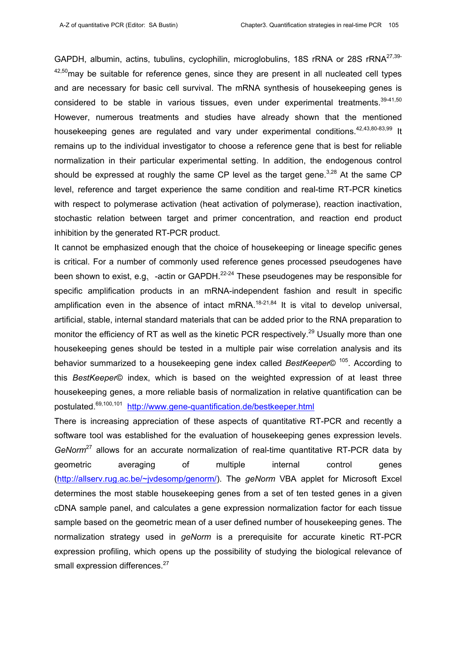GAPDH, albumin, actins, tubulins, cyclophilin, microglobulins, 18S rRNA or 28S rRNA<sup>27,39-</sup>  $42,50$  may be suitable for reference genes, since they are present in all nucleated cell types and are necessary for basic cell survival. The mRNA synthesis of housekeeping genes is considered to be stable in various tissues, even under experimental treatments. $39-41,50$ However, numerous treatments and studies have already shown that the mentioned housekeeping genes are regulated and vary under experimental conditions.<sup>42,43,80-83,99</sup> It remains up to the individual investigator to choose a reference gene that is best for reliable normalization in their particular experimental setting. In addition, the endogenous control should be expressed at roughly the same CP level as the target gene.<sup>3,28</sup> At the same CP level, reference and target experience the same condition and real-time RT-PCR kinetics with respect to polymerase activation (heat activation of polymerase), reaction inactivation, stochastic relation between target and primer concentration, and reaction end product inhibition by the generated RT-PCR product.

It cannot be emphasized enough that the choice of housekeeping or lineage specific genes is critical. For a number of commonly used reference genes processed pseudogenes have been shown to exist, e.g. -actin or GAPDH. $^{22-24}$  These pseudogenes may be responsible for specific amplification products in an mRNA-independent fashion and result in specific amplification even in the absence of intact mRNA.<sup>18-21,84</sup> It is vital to develop universal, artificial, stable, internal standard materials that can be added prior to the RNA preparation to monitor the efficiency of RT as well as the kinetic PCR respectively.<sup>29</sup> Usually more than one housekeeping genes should be tested in a multiple pair wise correlation analysis and its behavior summarized to a housekeeping gene index called *BestKeeper*© 105. According to this *BestKeeper*© index, which is based on the weighted expression of at least three housekeeping genes, a more reliable basis of normalization in relative quantification can be postulated.69,100,101 http://www.gene-quantification.de/bestkeeper.html

There is increasing appreciation of these aspects of quantitative RT-PCR and recently a software tool was established for the evaluation of housekeeping genes expression levels. *GeNorm*27 allows for an accurate normalization of real-time quantitative RT-PCR data by geometric averaging of multiple internal control genes (http://allserv.rug.ac.be/~jvdesomp/genorm/). The *geNorm* VBA applet for Microsoft Excel determines the most stable housekeeping genes from a set of ten tested genes in a given cDNA sample panel, and calculates a gene expression normalization factor for each tissue sample based on the geometric mean of a user defined number of housekeeping genes. The normalization strategy used in *geNorm* is a prerequisite for accurate kinetic RT-PCR expression profiling, which opens up the possibility of studying the biological relevance of small expression differences.<sup>27</sup>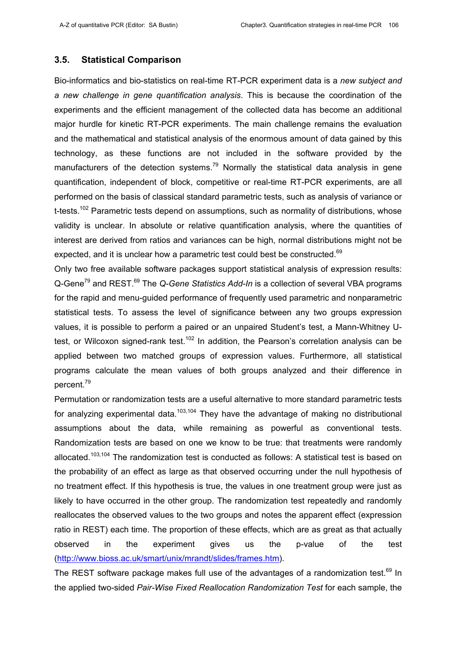#### **3.5. Statistical Comparison**

Bio-informatics and bio-statistics on real-time RT-PCR experiment data is a *new subject and a new challenge in gene quantification analysis*. This is because the coordination of the experiments and the efficient management of the collected data has become an additional major hurdle for kinetic RT-PCR experiments. The main challenge remains the evaluation and the mathematical and statistical analysis of the enormous amount of data gained by this technology, as these functions are not included in the software provided by the manufacturers of the detection systems.<sup>79</sup> Normally the statistical data analysis in gene quantification, independent of block, competitive or real-time RT-PCR experiments, are all performed on the basis of classical standard parametric tests, such as analysis of variance or t-tests.<sup>102</sup> Parametric tests depend on assumptions, such as normality of distributions, whose validity is unclear. In absolute or relative quantification analysis, where the quantities of interest are derived from ratios and variances can be high, normal distributions might not be expected, and it is unclear how a parametric test could best be constructed.<sup>69</sup>

Only two free available software packages support statistical analysis of expression results: Q-Gene79 and REST.69 The *Q-Gene Statistics Add-In* is a collection of several VBA programs for the rapid and menu-guided performance of frequently used parametric and nonparametric statistical tests. To assess the level of significance between any two groups expression values, it is possible to perform a paired or an unpaired Student's test, a Mann-Whitney Utest, or Wilcoxon signed-rank test.<sup>102</sup> In addition, the Pearson's correlation analysis can be applied between two matched groups of expression values. Furthermore, all statistical programs calculate the mean values of both groups analyzed and their difference in percent.79

Permutation or randomization tests are a useful alternative to more standard parametric tests for analyzing experimental data.<sup>103,104</sup> They have the advantage of making no distributional assumptions about the data, while remaining as powerful as conventional tests. Randomization tests are based on one we know to be true: that treatments were randomly allocated.<sup>103,104</sup> The randomization test is conducted as follows: A statistical test is based on the probability of an effect as large as that observed occurring under the null hypothesis of no treatment effect. If this hypothesis is true, the values in one treatment group were just as likely to have occurred in the other group. The randomization test repeatedly and randomly reallocates the observed values to the two groups and notes the apparent effect (expression ratio in REST) each time. The proportion of these effects, which are as great as that actually observed in the experiment gives us the p-value of the test (http://www.bioss.ac.uk/smart/unix/mrandt/slides/frames.htm).

The REST software package makes full use of the advantages of a randomization test. $69$  In the applied two-sided *Pair-Wise Fixed Reallocation Randomization Test* for each sample, the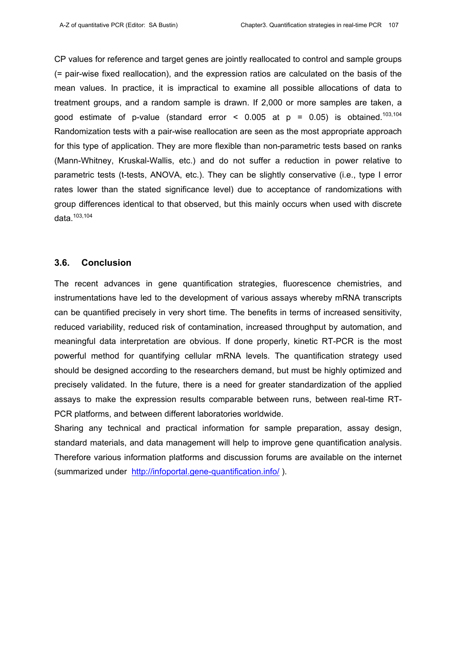CP values for reference and target genes are jointly reallocated to control and sample groups (= pair-wise fixed reallocation), and the expression ratios are calculated on the basis of the mean values. In practice, it is impractical to examine all possible allocations of data to treatment groups, and a random sample is drawn. If 2,000 or more samples are taken, a good estimate of p-value (standard error <  $0.005$  at p =  $0.05$ ) is obtained.<sup>103,104</sup> Randomization tests with a pair-wise reallocation are seen as the most appropriate approach for this type of application. They are more flexible than non-parametric tests based on ranks (Mann-Whitney, Kruskal-Wallis, etc.) and do not suffer a reduction in power relative to parametric tests (t-tests, ANOVA, etc.). They can be slightly conservative (i.e., type I error rates lower than the stated significance level) due to acceptance of randomizations with group differences identical to that observed, but this mainly occurs when used with discrete data.103,104

#### **3.6. Conclusion**

The recent advances in gene quantification strategies, fluorescence chemistries, and instrumentations have led to the development of various assays whereby mRNA transcripts can be quantified precisely in very short time. The benefits in terms of increased sensitivity, reduced variability, reduced risk of contamination, increased throughput by automation, and meaningful data interpretation are obvious. If done properly, kinetic RT-PCR is the most powerful method for quantifying cellular mRNA levels. The quantification strategy used should be designed according to the researchers demand, but must be highly optimized and precisely validated. In the future, there is a need for greater standardization of the applied assays to make the expression results comparable between runs, between real-time RT-PCR platforms, and between different laboratories worldwide.

Sharing any technical and practical information for sample preparation, assay design, standard materials, and data management will help to improve gene quantification analysis. Therefore various information platforms and discussion forums are available on the internet (summarized under http://infoportal.gene-quantification.info/ ).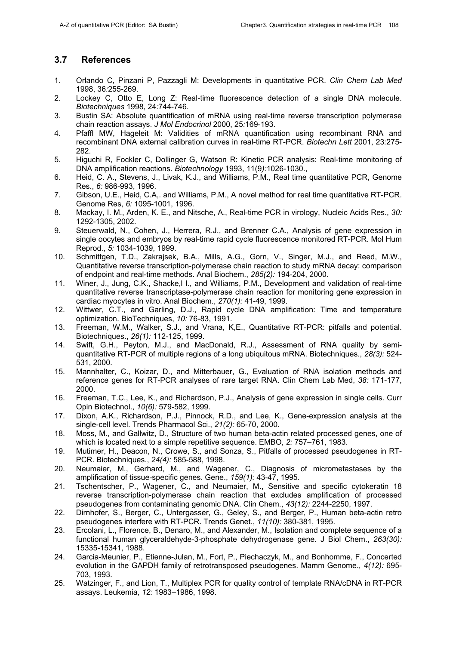## **3.7 References**

- 1. Orlando C, Pinzani P, Pazzagli M: Developments in quantitative PCR. *Clin Chem Lab Med* 1998, 36*:*255-269.
- 2. Lockey C, Otto E, Long Z: Real-time fluorescence detection of a single DNA molecule. *Biotechniques* 1998, 24*:*744-746.
- 3. Bustin SA: Absolute quantification of mRNA using real-time reverse transcription polymerase chain reaction assays. *J Mol Endocrinol* 2000, 25*:*169-193.
- 4. Pfaffl MW, Hageleit M: Validities of mRNA quantification using recombinant RNA and recombinant DNA external calibration curves in real-time RT-PCR. *Biotechn Lett* 2001, 23*:*275- 282.
- 5. Higuchi R, Fockler C, Dollinger G, Watson R: Kinetic PCR analysis: Real-time monitoring of DNA amplification reactions. *Biotechnology* 1993, 11(9*):*1026-1030.,
- 6. Heid, C. A., Stevens, J., Livak, K.J., and Williams, P.M., Real time quantitative PCR, Genome Res., *6:* 986-993, 1996.
- 7. Gibson, U.E., Heid, C.A,. and Williams, P.M., A novel method for real time quantitative RT-PCR. Genome Res, *6:* 1095-1001, 1996.
- 8. Mackay, I. M., Arden, K. E., and Nitsche, A., Real-time PCR in virology, Nucleic Acids Res., *30:* 1292-1305, 2002.
- 9. Steuerwald, N., Cohen, J., Herrera, R.J., and Brenner C.A., Analysis of gene expression in single oocytes and embryos by real-time rapid cycle fluorescence monitored RT-PCR. Mol Hum Reprod., *5:* 1034-1039, 1999.
- 10. Schmittgen, T.D., Zakrajsek, B.A., Mills, A.G., Gorn, V., Singer, M.J., and Reed, M.W., Quantitative reverse transcription-polymerase chain reaction to study mRNA decay: comparison of endpoint and real-time methods. Anal Biochem., *285(2):* 194-204, 2000.
- 11. Winer, J., Jung, C.K., Shacke,l I., and Williams, P.M., Development and validation of real-time quantitative reverse transcriptase-polymerase chain reaction for monitoring gene expression in cardiac myocytes in vitro. Anal Biochem., *270(1):* 41-49, 1999.
- 12. Wittwer, C.T., and Garling, D.J., Rapid cycle DNA amplification: Time and temperature optimization. BioTechniques, *10:* 76-83, 1991.
- 13. Freeman, W.M., Walker, S.J., and Vrana, K,E., Quantitative RT-PCR: pitfalls and potential. Biotechniques., *26(1):* 112-125, 1999.
- 14. Swift, G.H., Peyton, M.J., and MacDonald, R.J., Assessment of RNA quality by semiquantitative RT-PCR of multiple regions of a long ubiquitous mRNA. Biotechniques., *28(3):* 524- 531, 2000.
- 15. Mannhalter, C., Koizar, D., and Mitterbauer, G., Evaluation of RNA isolation methods and reference genes for RT-PCR analyses of rare target RNA. Clin Chem Lab Med, *38:* 171-177, 2000.
- 16. Freeman, T.C., Lee, K., and Richardson, P.J., Analysis of gene expression in single cells. Curr Opin Biotechnol., *10(6):* 579-582, 1999.
- 17. Dixon, A.K., Richardson, P.J., Pinnock, R.D., and Lee, K., Gene-expression analysis at the single-cell level. Trends Pharmacol Sci., *21(2):* 65-70, 2000.
- 18. Moss, M., and Gallwitz, D., Structure of two human beta-actin related processed genes, one of which is located next to a simple repetitive sequence. EMBO, *2:* 757–761, 1983.
- 19. Mutimer, H., Deacon, N., Crowe, S., and Sonza, S., Pitfalls of processed pseudogenes in RT-PCR. Biotechniques., *24(4):* 585-588, 1998.
- 20. Neumaier, M., Gerhard, M., and Wagener, C., Diagnosis of micrometastases by the amplification of tissue-specific genes. Gene., *159(1):* 43-47, 1995.
- 21. Tschentscher, P., Wagener, C., and Neumaier, M., Sensitive and specific cytokeratin 18 reverse transcription-polymerase chain reaction that excludes amplification of processed pseudogenes from contaminating genomic DNA. Clin Chem., *43(12):* 2244-2250, 1997.
- 22. Dirnhofer, S., Berger, C., Untergasser, G., Geley, S., and Berger, P., Human beta-actin retro pseudogenes interfere with RT-PCR. Trends Genet., *11(10):* 380-381, 1995.
- 23. Ercolani, L., Florence, B., Denaro, M., and Alexander, M., Isolation and complete sequence of a functional human glyceraldehyde-3-phosphate dehydrogenase gene. J Biol Chem., *263(30):* 15335-15341, 1988.
- 24. Garcia-Meunier, P., Etienne-Julan, M., Fort, P., Piechaczyk, M., and Bonhomme, F., Concerted evolution in the GAPDH family of retrotransposed pseudogenes. Mamm Genome., *4(12):* 695- 703, 1993.
- 25. Watzinger, F., and Lion, T., Multiplex PCR for quality control of template RNA/cDNA in RT-PCR assays. Leukemia, *12:* 1983–1986, 1998.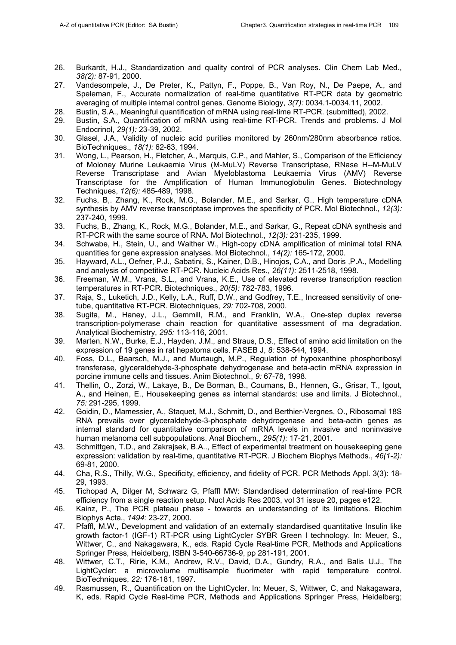- 26. Burkardt, H.J., Standardization and quality control of PCR analyses. Clin Chem Lab Med., *38(2):* 87-91, 2000.
- 27. Vandesompele, J., De Preter, K., Pattyn, F., Poppe, B., Van Roy, N., De Paepe, A., and Speleman, F., Accurate normalization of real-time quantitative RT-PCR data by geometric averaging of multiple internal control genes. Genome Biology, *3(7):* 0034.1-0034.11, 2002.
- 28. Bustin, S.A., Meaningful quantification of mRNA using real-time RT-PCR. (submitted), 2002.
- 29. Bustin, S.A., Quantification of mRNA using real-time RT-PCR. Trends and problems. J Mol Endocrinol, *29(1):* 23-39, 2002.
- 30. Glasel, J.A., Validity of nucleic acid purities monitored by 260nm/280nm absorbance ratios. BioTechniques., *18(1):* 62-63, 1994.
- 31. Wong, L., Pearson, H., Fletcher, A., Marquis, C.P., and Mahler, S., Comparison of the Efficiency of Moloney Murine Leukaemia Virus (M-MuLV) Reverse Transcriptase, RNase H--M-MuLV Reverse Transcriptase and Avian Myeloblastoma Leukaemia Virus (AMV) Reverse Transcriptase for the Amplification of Human Immunoglobulin Genes. Biotechnology Techniques, *12(6):* 485-489, 1998.
- 32. Fuchs, B,. Zhang, K., Rock, M.G., Bolander, M.E., and Sarkar, G., High temperature cDNA synthesis by AMV reverse transcriptase improves the specificity of PCR. Mol Biotechnol., *12(3):* 237-240, 1999.
- 33. Fuchs, B., Zhang, K., Rock, M.G., Bolander, M.E., and Sarkar, G., Repeat cDNA synthesis and RT-PCR with the same source of RNA. Mol Biotechnol., *12(3):* 231-235, 1999.
- 34. Schwabe, H., Stein, U., and Walther W., High-copy cDNA amplification of minimal total RNA quantities for gene expression analyses. Mol Biotechnol., *14(2):* 165-172, 2000.
- 35. Hayward, A.L., Oefner, P.J., Sabatini, S., Kainer, D.B., Hinojos, C.A., and Doris ,P.A., Modelling and analysis of competitive RT-PCR. Nucleic Acids Res., *26(11):* 2511-2518, 1998.
- 36. Freeman, W.M., Vrana, S.L., and Vrana, K.E., Use of elevated reverse transcription reaction temperatures in RT-PCR. Biotechniques., *20(5):* 782-783, 1996.
- 37. Raja, S., Luketich, J.D., Kelly, L.A., Ruff, D.W., and Godfrey, T.E., Increased sensitivity of onetube, quantitative RT-PCR. Biotechniques, *29:* 702-708, 2000.
- 38. Sugita, M., Haney, J.L., Gemmill, R.M., and Franklin, W.A., One-step duplex reverse transcription-polymerase chain reaction for quantitative assessment of rna degradation. Analytical Biochemistry, *295:* 113-116, 2001.
- 39. Marten, N.W., Burke, E.J., Hayden, J.M., and Straus, D.S., Effect of amino acid limitation on the expression of 19 genes in rat hepatoma cells. FASEB J, *8:* 538-544, 1994.
- 40. Foss, D.L., Baarsch, M.J., and Murtaugh, M.P., Regulation of hypoxanthine phosphoribosyl transferase, glyceraldehyde-3-phosphate dehydrogenase and beta-actin mRNA expression in porcine immune cells and tissues. Anim Biotechnol., *9:* 67-78, 1998.
- 41. Thellin, O., Zorzi, W., Lakaye, B., De Borman, B., Coumans, B., Hennen, G., Grisar, T., Igout, A., and Heinen, E., Housekeeping genes as internal standards: use and limits. J Biotechnol., *75:* 291-295, 1999.
- 42. Goidin, D., Mamessier, A., Staquet, M.J., Schmitt, D., and Berthier-Vergnes, O., Ribosomal 18S RNA prevails over glyceraldehyde-3-phosphate dehydrogenase and beta-actin genes as internal standard for quantitative comparison of mRNA levels in invasive and noninvasive human melanoma cell subpopulations. Anal Biochem., *295(1):* 17-21, 2001.
- 43. Schmittgen, T.D., and Zakrajsek, B.A.., Effect of experimental treatment on housekeeping gene expression: validation by real-time, quantitative RT-PCR. J Biochem Biophys Methods., *46(1-2):* 69-81, 2000.
- 44. Cha, R.S., Thilly, W.G., Specificity, efficiency, and fidelity of PCR. PCR Methods Appl. 3(3): 18- 29, 1993.
- 45. Tichopad A, Dilger M, Schwarz G, Pfaffl MW: Standardised determination of real-time PCR efficiency from a single reaction setup. Nucl Acids Res 2003, vol 31 issue 20, pages e122.
- 46. Kainz, P., The PCR plateau phase towards an understanding of its limitations. Biochim Biophys Acta., *1494:* 23-27, 2000.
- 47. Pfaffl, M.W., Development and validation of an externally standardised quantitative Insulin like growth factor-1 (IGF-1) RT-PCR using LightCycler SYBR Green I technology. In: Meuer, S., Wittwer, C., and Nakagawara, K., eds. Rapid Cycle Real-time PCR, Methods and Applications Springer Press, Heidelberg, ISBN 3-540-66736-9, pp 281-191, 2001.
- 48. Wittwer, C.T., Ririe, K.M., Andrew, R.V., David, D.A., Gundry, R.A., and Balis U.J., The LightCycler: a microvolume multisample fluorimeter with rapid temperature control. BioTechniques, *22:* 176-181, 1997.
- 49. Rasmussen, R., Quantification on the LightCycler. In: Meuer, S, Wittwer, C, and Nakagawara, K, eds. Rapid Cycle Real-time PCR, Methods and Applications Springer Press, Heidelberg;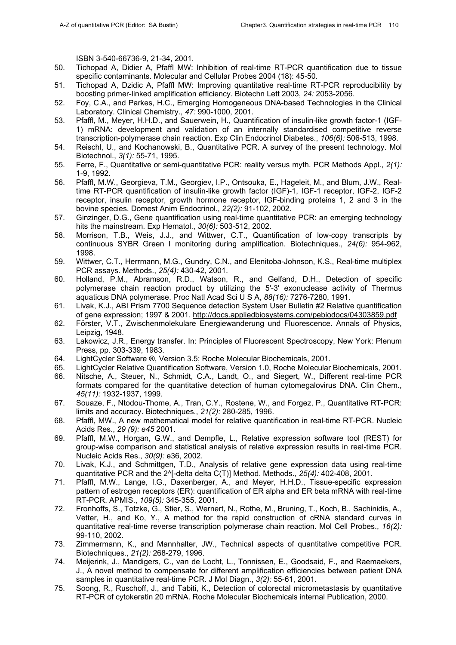ISBN 3-540-66736-9, 21-34, 2001.

- 50. Tichopad A, Didier A, Pfaffl MW: Inhibition of real-time RT-PCR quantification due to tissue specific contaminants. Molecular and Cellular Probes 2004 (18): 45-50.
- 51. Tichopad A, Dzidic A, Pfaffl MW: Improving quantitative real-time RT-PCR reproducibility by boosting primer-linked amplification efficiency. Biotechn Lett 2003, *24:* 2053-2056.
- 52. Foy, C.A., and Parkes, H.C., Emerging Homogeneous DNA-based Technologies in the Clinical Laboratory. Clinical Chemistry., *47:* 990-1000, 2001.
- 53. Pfaffl, M., Meyer, H.H.D., and Sauerwein, H., Quantification of insulin-like growth factor-1 (IGF-1) mRNA: development and validation of an internally standardised competitive reverse transcription-polymerase chain reaction. Exp Clin Endocrinol Diabetes., *106(6):* 506-513, 1998.
- 54. Reischl, U., and Kochanowski, B., Quantitative PCR. A survey of the present technology. Mol Biotechnol., *3(1):* 55-71, 1995.
- 55. Ferre, F., Quantitative or semi-quantitative PCR: reality versus myth. PCR Methods Appl., *2(1):* 1-9, 1992.
- 56. Pfaffl, M.W., Georgieva, T.M., Georgiev, I.P., Ontsouka, E., Hageleit, M., and Blum, J.W., Realtime RT-PCR quantification of insulin-like growth factor (IGF)-1, IGF-1 receptor, IGF-2, IGF-2 receptor, insulin receptor, growth hormone receptor, IGF-binding proteins 1, 2 and 3 in the bovine species. Domest Anim Endocrinol., *22(2):* 91-102, 2002.
- 57. Ginzinger, D.G., Gene quantification using real-time quantitative PCR: an emerging technology hits the mainstream. Exp Hematol., *30(6):* 503-512, 2002.
- 58. Morrison, T.B., Weis, J.J., and Wittwer, C.T., Quantification of low-copy transcripts by continuous SYBR Green I monitoring during amplification. Biotechniques., *24(6):* 954-962, 1998.
- 59. Wittwer, C.T., Herrmann, M.G., Gundry, C.N., and Elenitoba-Johnson, K.S., Real-time multiplex PCR assays. Methods., *25(4):* 430-42, 2001.
- 60. Holland, P.M., Abramson, R.D., Watson, R., and Gelfand, D.H., Detection of specific polymerase chain reaction product by utilizing the 5'-3' exonuclease activity of Thermus aquaticus DNA polymerase. Proc Natl Acad Sci U S A, *88(16):* 7276-7280, 1991.
- 61. Livak, K.J., ABI Prism 7700 Sequence detection System User Bulletin #2 Relative quantification of gene expression; 1997 & 2001. http://docs.appliedbiosystems.com/pebiodocs/04303859.pdf
- 62. Förster, V.T., Zwischenmolekulare Energiewanderung und Fluorescence. Annals of Physics, Leipzig, 1948.
- 63. Lakowicz, J.R., Energy transfer. In: Principles of Fluorescent Spectroscopy, New York: Plenum Press, pp. 303-339, 1983.
- 64. LightCycler Software ®, Version 3.5; Roche Molecular Biochemicals, 2001.
- 65. LightCycler Relative Quantification Software, Version 1.0, Roche Molecular Biochemicals, 2001.
- 66. Nitsche, A., Steuer, N., Schmidt, C.A., Landt, O., and Siegert, W., Different real-time PCR formats compared for the quantitative detection of human cytomegalovirus DNA. Clin Chem., *45(11):* 1932-1937, 1999.
- 67. Souaze, F., Ntodou-Thome, A., Tran, C.Y., Rostene, W., and Forgez, P., Quantitative RT-PCR: limits and accuracy. Biotechniques., *21(2):* 280-285, 1996.
- 68. Pfaffl, MW., A new mathematical model for relative quantification in real-time RT-PCR. Nucleic Acids Res., *29 (9): e45* 2001.
- 69. Pfaffl, M.W., Horgan, G.W., and Dempfle, L., Relative expression software tool (REST) for group-wise comparison and statistical analysis of relative expression results in real-time PCR. Nucleic Acids Res., *30(9):* e36, 2002.
- 70. Livak, K.J., and Schmittgen, T.D., Analysis of relative gene expression data using real-time quantitative PCR and the 2^[-delta delta C(T)] Method. Methods., *25(4):* 402-408, 2001.
- 71. Pfaffl, M.W., Lange, I.G., Daxenberger, A., and Meyer, H.H.D., Tissue-specific expression pattern of estrogen receptors (ER): quantification of ER alpha and ER beta mRNA with real-time RT-PCR. APMIS., *109(5):* 345-355, 2001.
- 72. Fronhoffs, S., Totzke, G., Stier, S., Wernert, N., Rothe, M., Bruning, T., Koch, B., Sachinidis, A., Vetter, H., and Ko, Y., A method for the rapid construction of cRNA standard curves in quantitative real-time reverse transcription polymerase chain reaction. Mol Cell Probes., *16(2):* 99-110, 2002.
- 73. Zimmermann, K., and Mannhalter, JW., Technical aspects of quantitative competitive PCR. Biotechniques., *21(2):* 268-279, 1996.
- 74. Meijerink, J., Mandigers, C., van de Locht, L., Tonnissen, E., Goodsaid, F., and Raemaekers, J., A novel method to compensate for different amplification efficiencies between patient DNA samples in quantitative real-time PCR. J Mol Diagn., *3(2):* 55-61, 2001.
- 75. Soong, R., Ruschoff, J., and Tabiti, K., Detection of colorectal micrometastasis by quantitative RT-PCR of cytokeratin 20 mRNA. Roche Molecular Biochemicals internal Publication, 2000.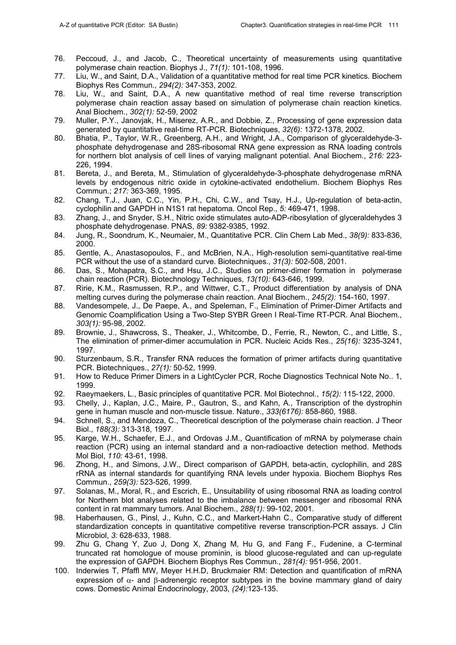- 76. Peccoud, J., and Jacob, C., Theoretical uncertainty of measurements using quantitative polymerase chain reaction. Biophys J., *71(1):* 101-108, 1996.
- 77. Liu, W., and Saint, D.A., Validation of a quantitative method for real time PCR kinetics. Biochem Biophys Res Commun., *294(2):* 347-353, 2002.
- 78. Liu, W., and Saint, D.A., A new quantitative method of real time reverse transcription polymerase chain reaction assay based on simulation of polymerase chain reaction kinetics. Anal Biochem., *302(1):* 52-59, 2002
- 79. Muller, P.Y., Janovjak, H., Miserez, A.R., and Dobbie, Z., Processing of gene expression data generated by quantitative real-time RT-PCR. Biotechniques, *32(6):* 1372-1378, 2002.
- 80. Bhatia, P., Taylor, W.R., Greenberg, A.H., and Wright, J.A., Comparison of glyceraldehyde-3 phosphate dehydrogenase and 28S-ribosomal RNA gene expression as RNA loading controls for northern blot analysis of cell lines of varying malignant potential. Anal Biochem., *216:* 223- 226, 1994.
- 81. Bereta, J., and Bereta, M., Stimulation of glyceraldehyde-3-phosphate dehydrogenase mRNA levels by endogenous nitric oxide in cytokine-activated endothelium. Biochem Biophys Res Commun.; *217:* 363-369, 1995.
- 82. Chang, T.J., Juan, C.C., Yin, P.H., Chi, C.W., and Tsay, H.J., Up-regulation of beta-actin, cyclophilin and GAPDH in N1S1 rat hepatoma. Oncol Rep., *5:* 469-471, 1998.
- 83. Zhang, J., and Snyder, S.H., Nitric oxide stimulates auto-ADP-ribosylation of glyceraldehydes 3 phosphate dehydrogenase. PNAS, *89:* 9382-9385, 1992.
- 84. Jung, R., Soondrum, K., Neumaier, M., Quantitative PCR. Clin Chem Lab Med., *38(9):* 833-836, 2000.
- 85. Gentle, A., Anastasopoulos, F., and McBrien, N.A., High-resolution semi-quantitative real-time PCR without the use of a standard curve. Biotechniques., *31(3):* 502-508, 2001.
- 86. Das, S., Mohapatra, S.C., and Hsu, J.C., Studies on primer-dimer formation in polymerase chain reaction (PCR). Biotechnology Techniques, *13(10):* 643-646, 1999.
- 87. Ririe, K.M., Rasmussen, R.P., and Wittwer, C.T., Product differentiation by analysis of DNA melting curves during the polymerase chain reaction. Anal Biochem., *245(2):* 154-160, 1997.
- 88. Vandesompele, J., De Paepe, A., and Speleman, F., Elimination of Primer-Dimer Artifacts and Genomic Coamplification Using a Two-Step SYBR Green I Real-Time RT-PCR. Anal Biochem., *303(1):* 95-98, 2002.
- 89. Brownie, J., Shawcross, S., Theaker, J., Whitcombe, D., Ferrie, R., Newton, C., and Little, S., The elimination of primer-dimer accumulation in PCR. Nucleic Acids Res., *25(16):* 3235-3241, 1997.
- 90. Sturzenbaum, S.R., Transfer RNA reduces the formation of primer artifacts during quantitative PCR. Biotechniques., *27(1):* 50-52, 1999.
- 91. How to Reduce Primer Dimers in a LightCycler PCR, Roche Diagnostics Technical Note No.. 1, 1999.
- 92. Raeymaekers, L., Basic principles of quantitative PCR. Mol Biotechnol., *15(2):* 115-122, 2000.
- 93. Chelly, J., Kaplan, J.C., Maire, P., Gautron, S., and Kahn, A., Transcription of the dystrophin gene in human muscle and non-muscle tissue. Nature., *333(6176):* 858-860, 1988.
- 94. Schnell, S., and Mendoza, C., Theoretical description of the polymerase chain reaction. J Theor Biol., *188(3):* 313-318, 1997.
- 95. Karge, W.H., Schaefer, E.J., and Ordovas J.M., Quantification of mRNA by polymerase chain reaction (PCR) using an internal standard and a non-radioactive detection method. Methods Mol Biol, *110:* 43-61, 1998.
- 96. Zhong, H., and Simons, J.W., Direct comparison of GAPDH, beta-actin, cyclophilin, and 28S rRNA as internal standards for quantifying RNA levels under hypoxia. Biochem Biophys Res Commun., *259(3):* 523-526, 1999.
- 97. Solanas, M., Moral, R., and Escrich, E., Unsuitability of using ribosomal RNA as loading control for Northern blot analyses related to the imbalance between messenger and ribosomal RNA content in rat mammary tumors. Anal Biochem., *288(1):* 99-102, 2001.
- 98. Haberhausen, G., Pinsl, J., Kuhn, C.C., and Markert-Hahn C., Comparative study of different standardization concepts in quantitative competitive reverse transcription-PCR assays. J Clin Microbiol, *3:* 628-633, 1988.
- 99. Zhu G, Chang Y, Zuo J, Dong X, Zhang M, Hu G, and Fang F., Fudenine, a C-terminal truncated rat homologue of mouse prominin, is blood glucose-regulated and can up-regulate the expression of GAPDH. Biochem Biophys Res Commun., *281(4):* 951-956, 2001.
- 100. Inderwies T, Pfaffl MW, Meyer H.H.D, Bruckmaier RM: Detection and quantification of mRNA expression of  $\alpha$ - and β-adrenergic receptor subtypes in the bovine mammary gland of dairy cows. Domestic Animal Endocrinology, 2003, *(24):*123-135.